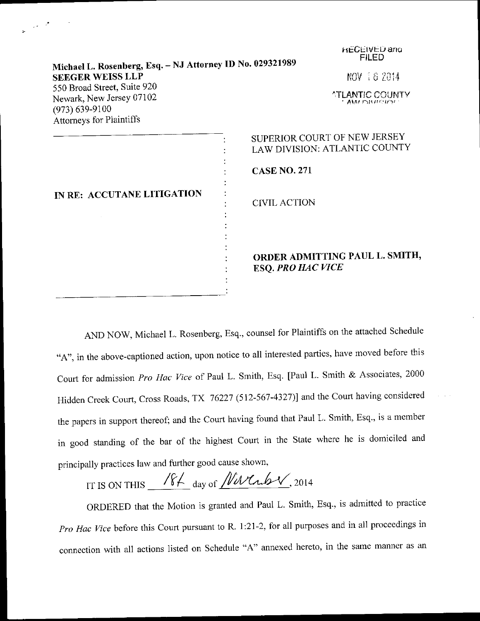| Michael L. Rosenberg, Esq. - NJ Attorney ID No. 029321989<br><b>SEEGER WEISS LLP</b><br>550 Broad Street, Suite 920<br>Newark, New Jersey 07102<br>$(973) 639 - 9100$ | <b>HECEIVED and</b><br><b>FILED</b><br>NOV 18 2014<br><b>ATLANTIC COUNTY</b><br>* AMALEMARISMEN |
|-----------------------------------------------------------------------------------------------------------------------------------------------------------------------|-------------------------------------------------------------------------------------------------|
| Attorneys for Plaintiffs<br>IN RE: ACCUTANE LITIGATION                                                                                                                | SUPERIOR COURT OF NEW JERSEY<br>LAW DIVISION: ATLANTIC COUNTY<br><b>CASE NO. 271</b>            |
|                                                                                                                                                                       | <b>CIVIL ACTION</b><br>ORDER ADMITTING PAUL L. SMITH,<br><b>ESQ. PRO HAC VICE</b>               |

 $\mathcal{G}(\mathcal{A})$ 

AND NOW, Michael L. Rosenberg, Esq., counsel for Plaintiffs on the attached Schedule "A", in the above-captioned action, upon notice to all interested parties, have moved before this Court for admission Pro Hac Vice of Paul L. Smith, Esq. [Paul L. Smith & Associates, 2000 Hidden Creek Court, Cross Roads, TX 76227 (512-567-4327)] and the Court having considered the papers in support thereof; and the Court having found that Paul L. Smith, Esq., is a member in good standing of the bar of the highest court in the state where he is domiciled and principally practices law and further good cause shown,

IT IS ON THIS  $\frac{184}{4}$  day of  $\frac{N}{N}$ , 2014

oRDERED that the Motion is granted and Paul L. Smith, Esq., is admitted to practice Pro Hac Vice before this Court pursuant to R. 1:21-2, for all purposes and in all proceedings in connection with all actions listed on Schedule "A" annexed hereto, in the same manner as an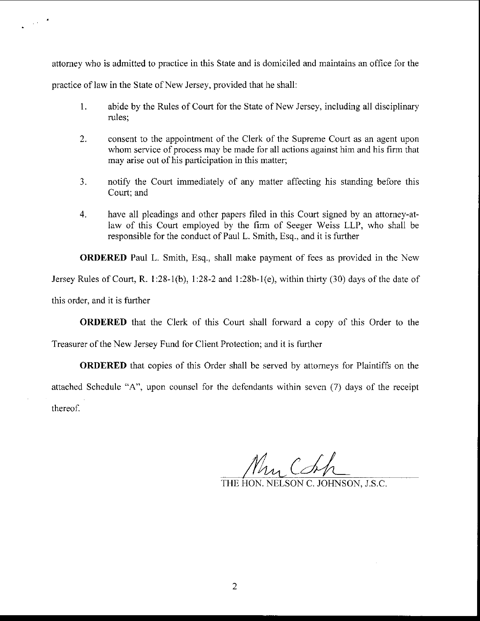attorney who is admitted to practice in this State and is domiciled and maintains an office for the practice of law in the State of New Jersey, provided that he shall:

 $\sim 10^{-4}$ 

- 1. abide by the Rules of Court for the State of New Jersey. including all disciplinary rules;
- consent to the appointment of the Clerk of the Supreme Court as an agent upon whom service of process may be made for all actions against him and his firm that may arise out of his participation in this matter; 2.
- notify the Court immediately of any matter affecting his standing before this Court; and )-
- 4. have all pleadings and other papers filed in this Court signed by an attorney-atlaw of this Court employed by the firm of Seeger Weiss LLP, who shall be responsible for the conduct of Paul L. Smith, Esq., and it is further

ORDERED Paul L. Smith, Esq., shall make payment of fees as provided in the New Jersey Rules of Court, R. 1:28-1(b), 1:28-2 and 1:28b-1(e), within thirty (30) days of the date of this order, and it is further

**ORDERED** that the Clerk of this Court shall forward a copy of this Order to the

Treasurer of the New Jersey Fund for Client Protection; and it is further

ORDERED that copies of this Order shall be served by attomeys for Plaintiffs on the attached Schedule "A", upon counsel for the defendants within seven (7) days of the receipt thereof.

Mr Chh